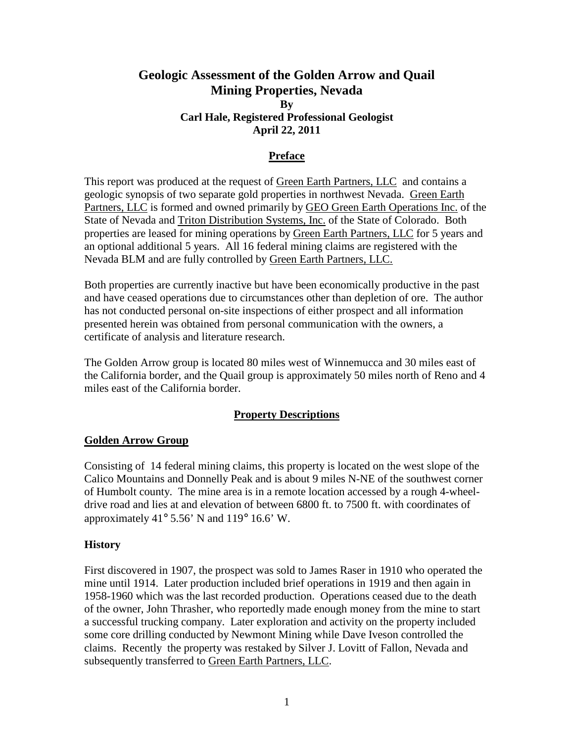# **Geologic Assessment of the Golden Arrow and Quail Mining Properties, Nevada By Carl Hale, Registered Professional Geologist April 22, 2011**

#### **Preface**

This report was produced at the request of Green Earth Partners, LLC and contains a geologic synopsis of two separate gold properties in northwest Nevada. Green Earth Partners, LLC is formed and owned primarily by GEO Green Earth Operations Inc. of the State of Nevada and Triton Distribution Systems, Inc. of the State of Colorado. Both properties are leased for mining operations by Green Earth Partners, LLC for 5 years and an optional additional 5 years. All 16 federal mining claims are registered with the Nevada BLM and are fully controlled by Green Earth Partners, LLC.

Both properties are currently inactive but have been economically productive in the past and have ceased operations due to circumstances other than depletion of ore. The author has not conducted personal on-site inspections of either prospect and all information presented herein was obtained from personal communication with the owners, a certificate of analysis and literature research.

The Golden Arrow group is located 80 miles west of Winnemucca and 30 miles east of the California border, and the Quail group is approximately 50 miles north of Reno and 4 miles east of the California border.

## **Property Descriptions**

#### **Golden Arrow Group**

Consisting of 14 federal mining claims, this property is located on the west slope of the Calico Mountains and Donnelly Peak and is about 9 miles N-NE of the southwest corner of Humbolt county. The mine area is in a remote location accessed by a rough 4-wheeldrive road and lies at and elevation of between 6800 ft. to 7500 ft. with coordinates of approximately 41 $\degree$  5.56' N and 119 $\degree$  16.6' W.

#### **History**

First discovered in 1907, the prospect was sold to James Raser in 1910 who operated the mine until 1914. Later production included brief operations in 1919 and then again in 1958-1960 which was the last recorded production. Operations ceased due to the death of the owner, John Thrasher, who reportedly made enough money from the mine to start a successful trucking company. Later exploration and activity on the property included some core drilling conducted by Newmont Mining while Dave Iveson controlled the claims. Recently the property was restaked by Silver J. Lovitt of Fallon, Nevada and subsequently transferred to Green Earth Partners, LLC.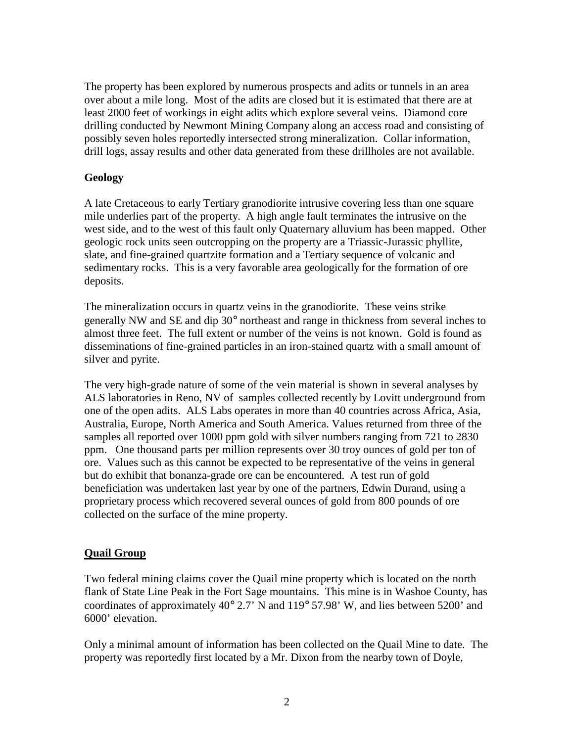The property has been explored by numerous prospects and adits or tunnels in an area over about a mile long. Most of the adits are closed but it is estimated that there are at least 2000 feet of workings in eight adits which explore several veins. Diamond core drilling conducted by Newmont Mining Company along an access road and consisting of possibly seven holes reportedly intersected strong mineralization. Collar information, drill logs, assay results and other data generated from these drillholes are not available.

### **Geology**

A late Cretaceous to early Tertiary granodiorite intrusive covering less than one square mile underlies part of the property. A high angle fault terminates the intrusive on the west side, and to the west of this fault only Quaternary alluvium has been mapped. Other geologic rock units seen outcropping on the property are a Triassic-Jurassic phyllite, slate, and fine-grained quartzite formation and a Tertiary sequence of volcanic and sedimentary rocks. This is a very favorable area geologically for the formation of ore deposits.

The mineralization occurs in quartz veins in the granodiorite. These veins strike generally NW and SE and dip 30° northeast and range in thickness from several inches to almost three feet. The full extent or number of the veins is not known. Gold is found as disseminations of fine-grained particles in an iron-stained quartz with a small amount of silver and pyrite.

The very high-grade nature of some of the vein material is shown in several analyses by ALS laboratories in Reno, NV of samples collected recently by Lovitt underground from one of the open adits. ALS Labs operates in more than 40 countries across Africa, Asia, Australia, Europe, North America and South America. Values returned from three of the samples all reported over 1000 ppm gold with silver numbers ranging from 721 to 2830 ppm. One thousand parts per million represents over 30 troy ounces of gold per ton of ore. Values such as this cannot be expected to be representative of the veins in general but do exhibit that bonanza-grade ore can be encountered. A test run of gold beneficiation was undertaken last year by one of the partners, Edwin Durand, using a proprietary process which recovered several ounces of gold from 800 pounds of ore collected on the surface of the mine property.

## **Quail Group**

Two federal mining claims cover the Quail mine property which is located on the north flank of State Line Peak in the Fort Sage mountains. This mine is in Washoe County, has coordinates of approximately 40° 2.7' N and 119° 57.98' W, and lies between 5200' and 6000' elevation.

Only a minimal amount of information has been collected on the Quail Mine to date. The property was reportedly first located by a Mr. Dixon from the nearby town of Doyle,